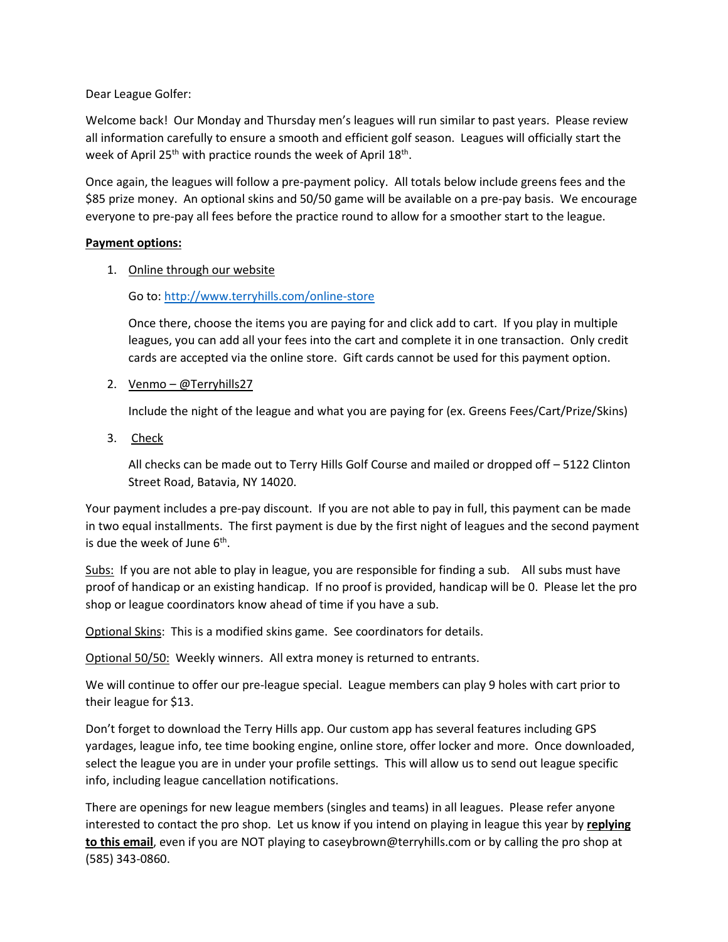Dear League Golfer:

Welcome back! Our Monday and Thursday men's leagues will run similar to past years. Please review all information carefully to ensure a smooth and efficient golf season. Leagues will officially start the week of April 25<sup>th</sup> with practice rounds the week of April 18<sup>th</sup>.

Once again, the leagues will follow a pre-payment policy. All totals below include greens fees and the \$85 prize money. An optional skins and 50/50 game will be available on a pre-pay basis. We encourage everyone to pre-pay all fees before the practice round to allow for a smoother start to the league.

#### **Payment options:**

1. Online through our website

### Go to:<http://www.terryhills.com/online-store>

Once there, choose the items you are paying for and click add to cart. If you play in multiple leagues, you can add all your fees into the cart and complete it in one transaction. Only credit cards are accepted via the online store. Gift cards cannot be used for this payment option.

2. Venmo – @Terryhills27

Include the night of the league and what you are paying for (ex. Greens Fees/Cart/Prize/Skins)

3. Check

All checks can be made out to Terry Hills Golf Course and mailed or dropped off – 5122 Clinton Street Road, Batavia, NY 14020.

Your payment includes a pre-pay discount. If you are not able to pay in full, this payment can be made in two equal installments. The first payment is due by the first night of leagues and the second payment is due the week of June 6<sup>th</sup>.

Subs: If you are not able to play in league, you are responsible for finding a sub. All subs must have proof of handicap or an existing handicap. If no proof is provided, handicap will be 0. Please let the pro shop or league coordinators know ahead of time if you have a sub.

Optional Skins: This is a modified skins game. See coordinators for details.

Optional 50/50: Weekly winners. All extra money is returned to entrants.

We will continue to offer our pre-league special. League members can play 9 holes with cart prior to their league for \$13.

Don't forget to download the Terry Hills app. Our custom app has several features including GPS yardages, league info, tee time booking engine, online store, offer locker and more. Once downloaded, select the league you are in under your profile settings. This will allow us to send out league specific info, including league cancellation notifications.

There are openings for new league members (singles and teams) in all leagues. Please refer anyone interested to contact the pro shop. Let us know if you intend on playing in league this year by **replying to this email**, even if you are NOT playing to caseybrown@terryhills.com or by calling the pro shop at (585) 343-0860.